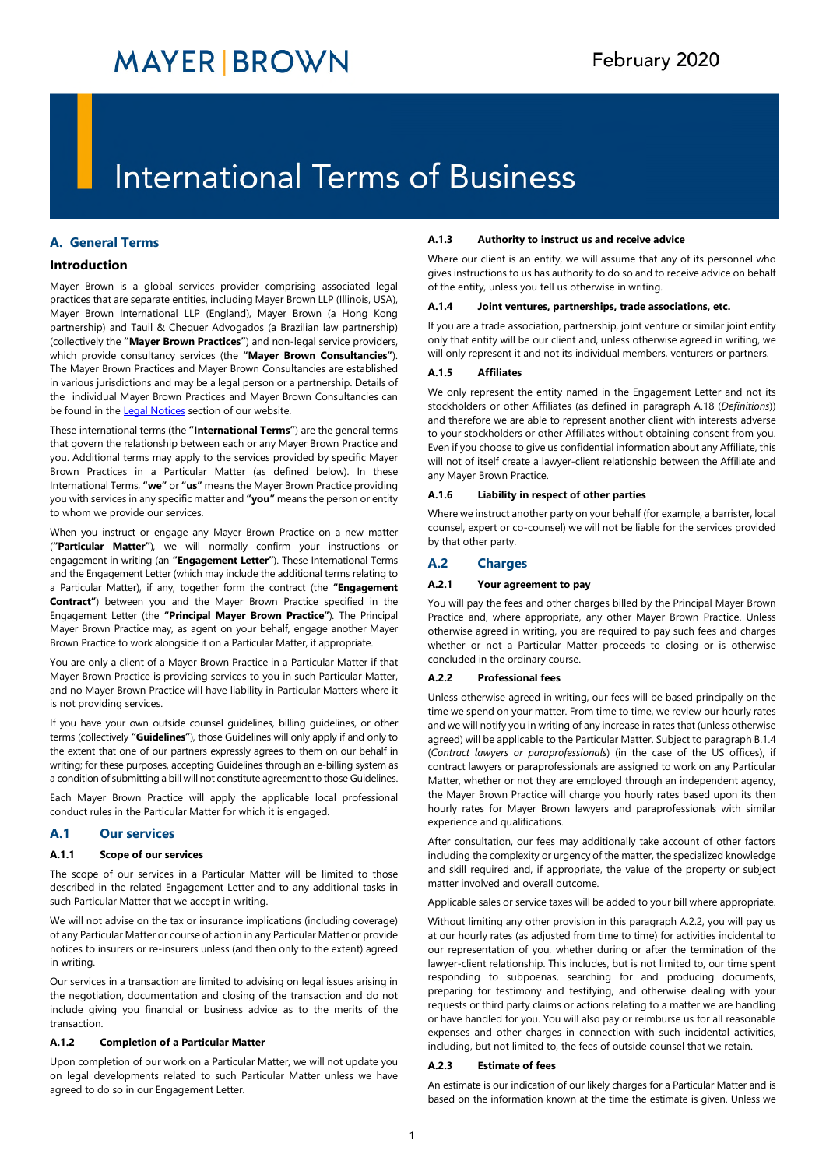# **International Terms of Business**

# **A. General Terms**

# **Introduction**

Mayer Brown is a global services provider comprising associated legal practices that are separate entities, including Mayer Brown LLP (Illinois, USA), Mayer Brown International LLP (England), Mayer Brown (a Hong Kong partnership) and Tauil & Chequer Advogados (a Brazilian law partnership) (collectively the **"Mayer Brown Practices"**) and non-legal service providers, which provide consultancy services (the **"Mayer Brown Consultancies"**). The Mayer Brown Practices and Mayer Brown Consultancies are established in various jurisdictions and may be a legal person or a partnership. Details of the individual Mayer Brown Practices and Mayer Brown Consultancies can be found in the [Legal Notices](https://www.mayerbrown.com/en/legal-notices/legal-and-regulatory) section of our website.

These international terms (the **"International Terms"**) are the general terms that govern the relationship between each or any Mayer Brown Practice and you. Additional terms may apply to the services provided by specific Mayer Brown Practices in a Particular Matter (as defined below). In these International Terms, **"we"** or **"us"** means the Mayer Brown Practice providing you with services in any specific matter and **"you"** means the person or entity to whom we provide our services.

When you instruct or engage any Mayer Brown Practice on a new matter (**"Particular Matter"**), we will normally confirm your instructions or engagement in writing (an **"Engagement Letter"**). These International Terms and the Engagement Letter (which may include the additional terms relating to a Particular Matter), if any, together form the contract (the **"Engagement Contract"**) between you and the Mayer Brown Practice specified in the Engagement Letter (the **"Principal Mayer Brown Practice"**). The Principal Mayer Brown Practice may, as agent on your behalf, engage another Mayer Brown Practice to work alongside it on a Particular Matter, if appropriate.

You are only a client of a Mayer Brown Practice in a Particular Matter if that Mayer Brown Practice is providing services to you in such Particular Matter, and no Mayer Brown Practice will have liability in Particular Matters where it is not providing services.

If you have your own outside counsel guidelines, billing guidelines, or other terms (collectively **"Guidelines"**), those Guidelines will only apply if and only to the extent that one of our partners expressly agrees to them on our behalf in writing; for these purposes, accepting Guidelines through an e-billing system as a condition of submitting a bill will not constitute agreement to those Guidelines.

Each Mayer Brown Practice will apply the applicable local professional conduct rules in the Particular Matter for which it is engaged.

# **A.1 Our services**

#### **A.1.1 Scope of our services**

The scope of our services in a Particular Matter will be limited to those described in the related Engagement Letter and to any additional tasks in such Particular Matter that we accept in writing.

We will not advise on the tax or insurance implications (including coverage) of any Particular Matter or course of action in any Particular Matter or provide notices to insurers or re-insurers unless (and then only to the extent) agreed in writing.

Our services in a transaction are limited to advising on legal issues arising in the negotiation, documentation and closing of the transaction and do not include giving you financial or business advice as to the merits of the transaction.

# **A.1.2 Completion of a Particular Matter**

Upon completion of our work on a Particular Matter, we will not update you on legal developments related to such Particular Matter unless we have agreed to do so in our Engagement Letter.

#### **A.1.3 Authority to instruct us and receive advice**

Where our client is an entity, we will assume that any of its personnel who gives instructions to us has authority to do so and to receive advice on behalf of the entity, unless you tell us otherwise in writing.

#### **A.1.4 Joint ventures, partnerships, trade associations, etc.**

If you are a trade association, partnership, joint venture or similar joint entity only that entity will be our client and, unless otherwise agreed in writing, we will only represent it and not its individual members, venturers or partners.

#### **A.1.5 Affiliates**

We only represent the entity named in the Engagement Letter and not its stockholders or other Affiliates (as defined in paragraph [A.18](#page-3-0) (*[Definitions](#page-3-0)*)) and therefore we are able to represent another client with interests adverse to your stockholders or other Affiliates without obtaining consent from you. Even if you choose to give us confidential information about any Affiliate, this will not of itself create a lawyer-client relationship between the Affiliate and any Mayer Brown Practice.

## **A.1.6 Liability in respect of other parties**

Where we instruct another party on your behalf (for example, a barrister, local counsel, expert or co-counsel) we will not be liable for the services provided by that other party.

# **A.2 Charges**

# **A.2.1 Your agreement to pay**

You will pay the fees and other charges billed by the Principal Mayer Brown Practice and, where appropriate, any other Mayer Brown Practice. Unless otherwise agreed in writing, you are required to pay such fees and charges whether or not a Particular Matter proceeds to closing or is otherwise concluded in the ordinary course.

## <span id="page-0-0"></span>**A.2.2 Professional fees**

Unless otherwise agreed in writing, our fees will be based principally on the time we spend on your matter. From time to time, we review our hourly rates and we will notify you in writing of any increase in rates that (unless otherwise agreed) will be applicable to the Particular Matter. Subject to paragraph [B.1.4](#page-4-0)  (*[Contract lawyers or paraprofessionals](#page-4-0)*) (in the case of the US offices), if contract lawyers or paraprofessionals are assigned to work on any Particular Matter, whether or not they are employed through an independent agency, the Mayer Brown Practice will charge you hourly rates based upon its then hourly rates for Mayer Brown lawyers and paraprofessionals with similar experience and qualifications.

After consultation, our fees may additionally take account of other factors including the complexity or urgency of the matter, the specialized knowledge and skill required and, if appropriate, the value of the property or subject matter involved and overall outcome.

Applicable sales or service taxes will be added to your bill where appropriate.

[Without limiting any other provision in this paragraph A.2.2, you will pay us](#page-0-0)  at our hourly rates (as adjusted from time to time) for activities incidental to our representation of you, whether during or after the termination of the lawyer-client relationship. This includes, but is not limited to, our time spent responding to subpoenas, searching for and producing documents, preparing for testimony and testifying, and otherwise dealing with your requests or third party claims or actions relating to a matter we are handling or have handled for you. You will also pay or reimburse us for all reasonable expenses and other charges in connection with such incidental activities, including, but not limited to, the fees of outside counsel that we retain.

#### **A.2.3 Estimate of fees**

An estimate is our indication of our likely charges for a Particular Matter and is based on the information known at the time the estimate is given. Unless we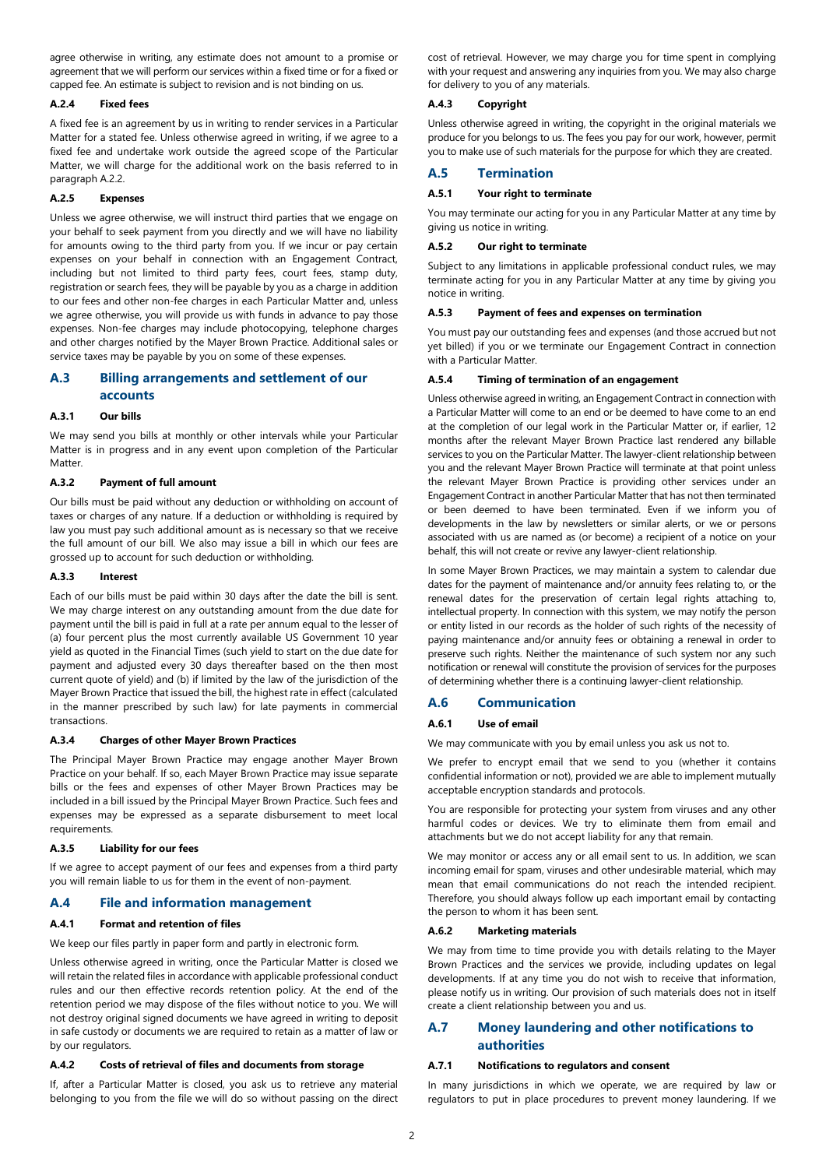agree otherwise in writing, any estimate does not amount to a promise or agreement that we will perform our services within a fixed time or for a fixed or capped fee. An estimate is subject to revision and is not binding on us.

#### **A.2.4 Fixed fees**

A fixed fee is an agreement by us in writing to render services in a Particular Matter for a stated fee. Unless otherwise agreed in writing, if we agree to a fixed fee and undertake work outside the agreed scope of the Particular Matter, we will charge for the additional work on the basis referred to in paragraph [A.2.2.](#page-0-0)

#### **A.2.5 Expenses**

Unless we agree otherwise, we will instruct third parties that we engage on your behalf to seek payment from you directly and we will have no liability for amounts owing to the third party from you. If we incur or pay certain expenses on your behalf in connection with an Engagement Contract, including but not limited to third party fees, court fees, stamp duty, registration or search fees, they will be payable by you as a charge in addition to our fees and other non-fee charges in each Particular Matter and, unless we agree otherwise, you will provide us with funds in advance to pay those expenses. Non-fee charges may include photocopying, telephone charges and other charges notified by the Mayer Brown Practice. Additional sales or service taxes may be payable by you on some of these expenses.

# **A.3 Billing arrangements and settlement of our accounts**

#### **A.3.1 Our bills**

We may send you bills at monthly or other intervals while your Particular Matter is in progress and in any event upon completion of the Particular Matter.

## **A.3.2 Payment of full amount**

Our bills must be paid without any deduction or withholding on account of taxes or charges of any nature. If a deduction or withholding is required by law you must pay such additional amount as is necessary so that we receive the full amount of our bill. We also may issue a bill in which our fees are grossed up to account for such deduction or withholding.

#### **A.3.3 Interest**

Each of our bills must be paid within 30 days after the date the bill is sent. We may charge interest on any outstanding amount from the due date for payment until the bill is paid in full at a rate per annum equal to the lesser of (a) four percent plus the most currently available US Government 10 year yield as quoted in the Financial Times (such yield to start on the due date for payment and adjusted every 30 days thereafter based on the then most current quote of yield) and (b) if limited by the law of the jurisdiction of the Mayer Brown Practice that issued the bill, the highest rate in effect (calculated in the manner prescribed by such law) for late payments in commercial transactions.

#### **A.3.4 Charges of other Mayer Brown Practices**

The Principal Mayer Brown Practice may engage another Mayer Brown Practice on your behalf. If so, each Mayer Brown Practice may issue separate bills or the fees and expenses of other Mayer Brown Practices may be included in a bill issued by the Principal Mayer Brown Practice. Such fees and expenses may be expressed as a separate disbursement to meet local requirements.

#### **A.3.5 Liability for our fees**

If we agree to accept payment of our fees and expenses from a third party you will remain liable to us for them in the event of non-payment.

## **A.4 File and information management**

#### **A.4.1 Format and retention of files**

We keep our files partly in paper form and partly in electronic form.

Unless otherwise agreed in writing, once the Particular Matter is closed we will retain the related files in accordance with applicable professional conduct rules and our then effective records retention policy. At the end of the retention period we may dispose of the files without notice to you. We will not destroy original signed documents we have agreed in writing to deposit in safe custody or documents we are required to retain as a matter of law or by our regulators.

#### **A.4.2 Costs of retrieval of files and documents from storage**

If, after a Particular Matter is closed, you ask us to retrieve any material belonging to you from the file we will do so without passing on the direct cost of retrieval. However, we may charge you for time spent in complying with your request and answering any inquiries from you. We may also charge for delivery to you of any materials.

#### **A.4.3 Copyright**

Unless otherwise agreed in writing, the copyright in the original materials we produce for you belongs to us. The fees you pay for our work, however, permit you to make use of such materials for the purpose for which they are created.

# **A.5 Termination**

## **A.5.1 Your right to terminate**

You may terminate our acting for you in any Particular Matter at any time by giving us notice in writing.

#### **A.5.2 Our right to terminate**

Subject to any limitations in applicable professional conduct rules, we may terminate acting for you in any Particular Matter at any time by giving you notice in writing.

## **A.5.3 Payment of fees and expenses on termination**

You must pay our outstanding fees and expenses (and those accrued but not yet billed) if you or we terminate our Engagement Contract in connection with a Particular Matter.

#### **A.5.4 Timing of termination of an engagement**

Unless otherwise agreed in writing, an Engagement Contract in connection with a Particular Matter will come to an end or be deemed to have come to an end at the completion of our legal work in the Particular Matter or, if earlier, 12 months after the relevant Mayer Brown Practice last rendered any billable services to you on the Particular Matter. The lawyer-client relationship between you and the relevant Mayer Brown Practice will terminate at that point unless the relevant Mayer Brown Practice is providing other services under an Engagement Contract in another Particular Matter that has not then terminated or been deemed to have been terminated. Even if we inform you of developments in the law by newsletters or similar alerts, or we or persons associated with us are named as (or become) a recipient of a notice on your behalf, this will not create or revive any lawyer-client relationship.

In some Mayer Brown Practices, we may maintain a system to calendar due dates for the payment of maintenance and/or annuity fees relating to, or the renewal dates for the preservation of certain legal rights attaching to, intellectual property. In connection with this system, we may notify the person or entity listed in our records as the holder of such rights of the necessity of paying maintenance and/or annuity fees or obtaining a renewal in order to preserve such rights. Neither the maintenance of such system nor any such notification or renewal will constitute the provision of services for the purposes of determining whether there is a continuing lawyer-client relationship.

#### **A.6 Communication**

#### **A.6.1 Use of email**

We may communicate with you by email unless you ask us not to.

We prefer to encrypt email that we send to you (whether it contains confidential information or not), provided we are able to implement mutually acceptable encryption standards and protocols.

You are responsible for protecting your system from viruses and any other harmful codes or devices. We try to eliminate them from email and attachments but we do not accept liability for any that remain.

We may monitor or access any or all email sent to us. In addition, we scan incoming email for spam, viruses and other undesirable material, which may mean that email communications do not reach the intended recipient. Therefore, you should always follow up each important email by contacting the person to whom it has been sent.

# **A.6.2 Marketing materials**

We may from time to time provide you with details relating to the Mayer Brown Practices and the services we provide, including updates on legal developments. If at any time you do not wish to receive that information, please notify us in writing. Our provision of such materials does not in itself create a client relationship between you and us.

# <span id="page-1-0"></span>**A.7 Money laundering and other notifications to authorities**

## **A.7.1 Notifications to regulators and consent**

In many jurisdictions in which we operate, we are required by law or regulators to put in place procedures to prevent money laundering. If we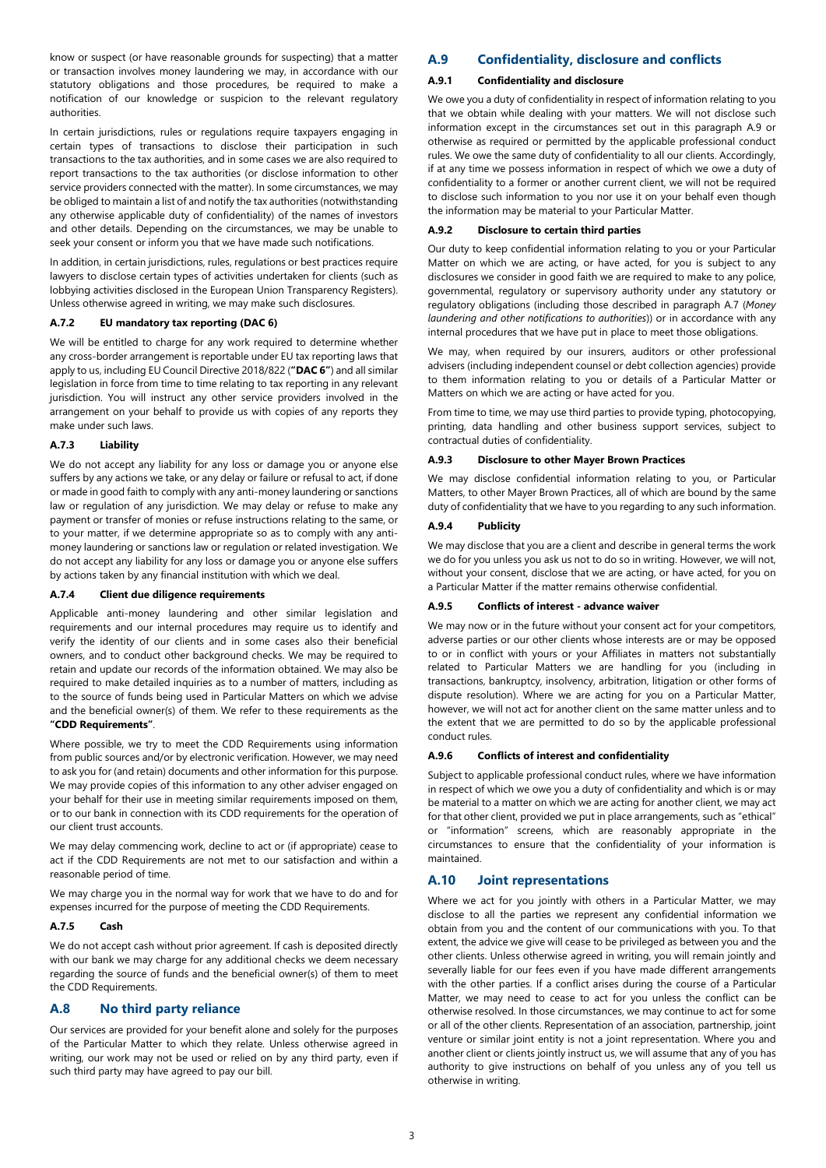know or suspect (or have reasonable grounds for suspecting) that a matter or transaction involves money laundering we may, in accordance with our statutory obligations and those procedures, be required to make a notification of our knowledge or suspicion to the relevant regulatory authorities.

In certain jurisdictions, rules or regulations require taxpayers engaging in certain types of transactions to disclose their participation in such transactions to the tax authorities, and in some cases we are also required to report transactions to the tax authorities (or disclose information to other service providers connected with the matter). In some circumstances, we may be obliged to maintain a list of and notify the tax authorities (notwithstanding any otherwise applicable duty of confidentiality) of the names of investors and other details. Depending on the circumstances, we may be unable to seek your consent or inform you that we have made such notifications.

In addition, in certain jurisdictions, rules, regulations or best practices require lawyers to disclose certain types of activities undertaken for clients (such as lobbying activities disclosed in the European Union Transparency Registers). Unless otherwise agreed in writing, we may make such disclosures.

#### **A.7.2 EU mandatory tax reporting (DAC 6)**

We will be entitled to charge for any work required to determine whether any cross-border arrangement is reportable under EU tax reporting laws that apply to us, including EU Council Directive 2018/822 (**"DAC 6"**) and all similar legislation in force from time to time relating to tax reporting in any relevant jurisdiction. You will instruct any other service providers involved in the arrangement on your behalf to provide us with copies of any reports they make under such laws.

#### **A.7.3 Liability**

We do not accept any liability for any loss or damage you or anyone else suffers by any actions we take, or any delay or failure or refusal to act, if done or made in good faith to comply with any anti-money laundering or sanctions law or regulation of any jurisdiction. We may delay or refuse to make any payment or transfer of monies or refuse instructions relating to the same, or to your matter, if we determine appropriate so as to comply with any antimoney laundering or sanctions law or regulation or related investigation. We do not accept any liability for any loss or damage you or anyone else suffers by actions taken by any financial institution with which we deal.

#### **A.7.4 Client due diligence requirements**

Applicable anti-money laundering and other similar legislation and requirements and our internal procedures may require us to identify and verify the identity of our clients and in some cases also their beneficial owners, and to conduct other background checks. We may be required to retain and update our records of the information obtained. We may also be required to make detailed inquiries as to a number of matters, including as to the source of funds being used in Particular Matters on which we advise and the beneficial owner(s) of them. We refer to these requirements as the **"CDD Requirements"**.

Where possible, we try to meet the CDD Requirements using information from public sources and/or by electronic verification. However, we may need to ask you for (and retain) documents and other information for this purpose. We may provide copies of this information to any other adviser engaged on your behalf for their use in meeting similar requirements imposed on them, or to our bank in connection with its CDD requirements for the operation of our client trust accounts.

We may delay commencing work, decline to act or (if appropriate) cease to act if the CDD Requirements are not met to our satisfaction and within a reasonable period of time.

We may charge you in the normal way for work that we have to do and for expenses incurred for the purpose of meeting the CDD Requirements.

#### **A.7.5 Cash**

We do not accept cash without prior agreement. If cash is deposited directly with our bank we may charge for any additional checks we deem necessary regarding the source of funds and the beneficial owner(s) of them to meet the CDD Requirements.

# <span id="page-2-1"></span>**A.8 No third party reliance**

Our services are provided for your benefit alone and solely for the purposes of the Particular Matter to which they relate. Unless otherwise agreed in writing, our work may not be used or relied on by any third party, even if such third party may have agreed to pay our bill.

## <span id="page-2-0"></span>**A.9 Confidentiality, disclosure and conflicts**

#### **A.9.1 Confidentiality and disclosure**

We owe you a duty of confidentiality in respect of information relating to you that we obtain while dealing with your matters. We will not disclose such information except in the circumstances set out in this paragraph [A.9](#page-2-0) or otherwise as required or permitted by the applicable professional conduct rules. We owe the same duty of confidentiality to all our clients. Accordingly, if at any time we possess information in respect of which we owe a duty of confidentiality to a former or another current client, we will not be required to disclose such information to you nor use it on your behalf even though the information may be material to your Particular Matter.

#### **A.9.2 Disclosure to certain third parties**

Our duty to keep confidential information relating to you or your Particular Matter on which we are acting, or have acted, for you is subject to any disclosures we consider in good faith we are required to make to any police, governmental, regulatory or supervisory authority under any statutory or regulatory obligations (including those described in paragraph [A.7](#page-1-0) (*[Money](#page-1-0)  [laundering and other notifications to authorities](#page-1-0)*)) or in accordance with any internal procedures that we have put in place to meet those obligations.

We may, when required by our insurers, auditors or other professional advisers (including independent counsel or debt collection agencies) provide to them information relating to you or details of a Particular Matter or Matters on which we are acting or have acted for you.

From time to time, we may use third parties to provide typing, photocopying, printing, data handling and other business support services, subject to contractual duties of confidentiality.

#### **A.9.3 Disclosure to other Mayer Brown Practices**

We may disclose confidential information relating to you, or Particular Matters, to other Mayer Brown Practices, all of which are bound by the same duty of confidentiality that we have to you regarding to any such information.

#### **A.9.4 Publicity**

We may disclose that you are a client and describe in general terms the work we do for you unless you ask us not to do so in writing. However, we will not, without your consent, disclose that we are acting, or have acted, for you on a Particular Matter if the matter remains otherwise confidential.

#### **A.9.5 Conflicts of interest - advance waiver**

We may now or in the future without your consent act for your competitors, adverse parties or our other clients whose interests are or may be opposed to or in conflict with yours or your Affiliates in matters not substantially related to Particular Matters we are handling for you (including in transactions, bankruptcy, insolvency, arbitration, litigation or other forms of dispute resolution). Where we are acting for you on a Particular Matter, however, we will not act for another client on the same matter unless and to the extent that we are permitted to do so by the applicable professional conduct rules.

#### **A.9.6 Conflicts of interest and confidentiality**

Subject to applicable professional conduct rules, where we have information in respect of which we owe you a duty of confidentiality and which is or may be material to a matter on which we are acting for another client, we may act for that other client, provided we put in place arrangements, such as "ethical" or "information" screens, which are reasonably appropriate in the circumstances to ensure that the confidentiality of your information is maintained.

#### **A.10 Joint representations**

Where we act for you jointly with others in a Particular Matter, we may disclose to all the parties we represent any confidential information we obtain from you and the content of our communications with you. To that extent, the advice we give will cease to be privileged as between you and the other clients. Unless otherwise agreed in writing, you will remain jointly and severally liable for our fees even if you have made different arrangements with the other parties. If a conflict arises during the course of a Particular Matter, we may need to cease to act for you unless the conflict can be otherwise resolved. In those circumstances, we may continue to act for some or all of the other clients. Representation of an association, partnership, joint venture or similar joint entity is not a joint representation. Where you and another client or clients jointly instruct us, we will assume that any of you has authority to give instructions on behalf of you unless any of you tell us otherwise in writing.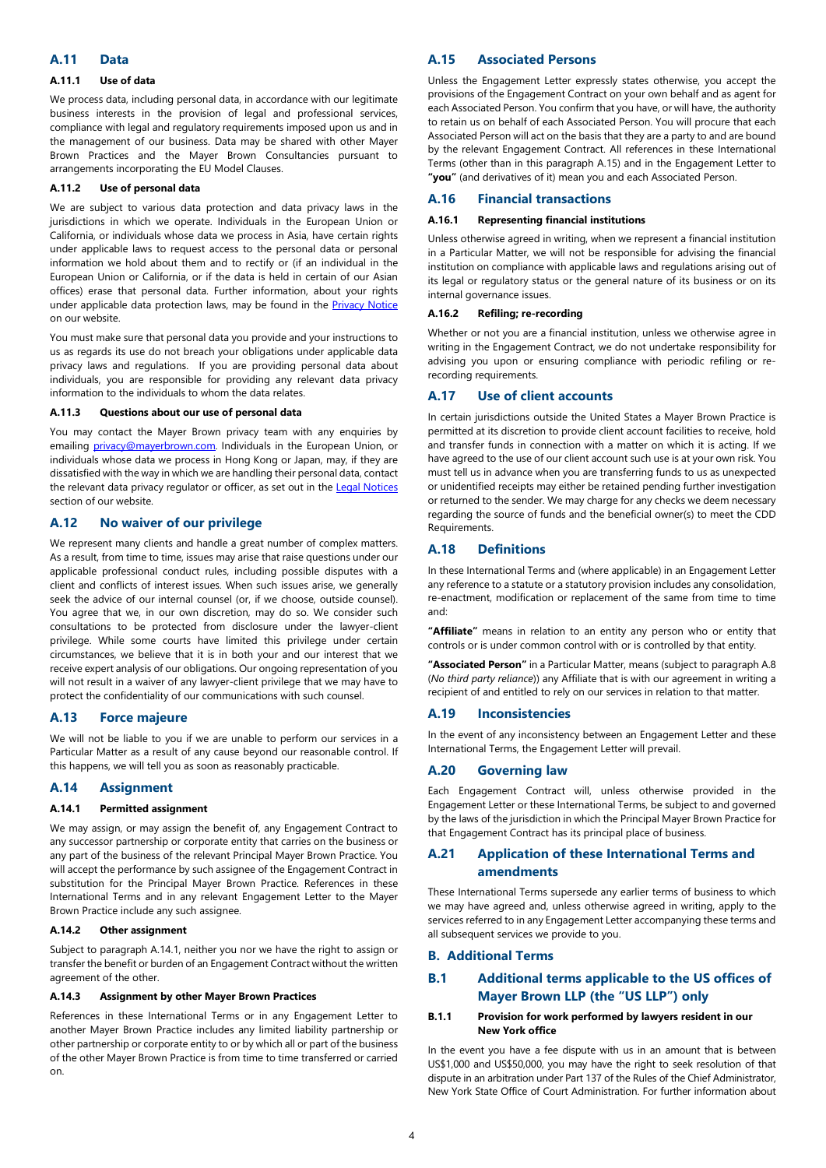## **A.11 Data**

### **A.11.1 Use of data**

We process data, including personal data, in accordance with our legitimate business interests in the provision of legal and professional services, compliance with legal and regulatory requirements imposed upon us and in the management of our business. Data may be shared with other Mayer Brown Practices and the Mayer Brown Consultancies pursuant to arrangements incorporating the EU Model Clauses.

#### **A.11.2 Use of personal data**

We are subject to various data protection and data privacy laws in the jurisdictions in which we operate. Individuals in the European Union or California, or individuals whose data we process in Asia, have certain rights under applicable laws to request access to the personal data or personal information we hold about them and to rectify or (if an individual in the European Union or California, or if the data is held in certain of our Asian offices) erase that personal data. Further information, about your rights under applicable data protection laws, may be found in the **[Privacy Notice](https://www.mayerbrown.com/en/legal-notices/privacy-notice/)** on our website.

You must make sure that personal data you provide and your instructions to us as regards its use do not breach your obligations under applicable data privacy laws and regulations. If you are providing personal data about individuals, you are responsible for providing any relevant data privacy information to the individuals to whom the data relates.

## **A.11.3 Questions about our use of personal data**

You may contact the Mayer Brown privacy team with any enquiries by emailing [privacy@mayerbrown.com](mailto:privacy@mayerbrown.com). Individuals in the European Union, or individuals whose data we process in Hong Kong or Japan, may, if they are dissatisfied with the way in which we are handling their personal data, contact the relevant data privacy regulator or officer, as set out in the [Legal Notices](https://www.mayerbrown.com/en/legal-notices/legal-and-regulatory) section of our website.

# **A.12 No waiver of our privilege**

We represent many clients and handle a great number of complex matters. As a result, from time to time, issues may arise that raise questions under our applicable professional conduct rules, including possible disputes with a client and conflicts of interest issues. When such issues arise, we generally seek the advice of our internal counsel (or, if we choose, outside counsel). You agree that we, in our own discretion, may do so. We consider such consultations to be protected from disclosure under the lawyer-client privilege. While some courts have limited this privilege under certain circumstances, we believe that it is in both your and our interest that we receive expert analysis of our obligations. Our ongoing representation of you will not result in a waiver of any lawyer-client privilege that we may have to protect the confidentiality of our communications with such counsel.

# **A.13 Force majeure**

We will not be liable to you if we are unable to perform our services in a Particular Matter as a result of any cause beyond our reasonable control. If this happens, we will tell you as soon as reasonably practicable.

#### **A.14 Assignment**

#### <span id="page-3-1"></span>**A.14.1 Permitted assignment**

We may assign, or may assign the benefit of, any Engagement Contract to any successor partnership or corporate entity that carries on the business or any part of the business of the relevant Principal Mayer Brown Practice. You will accept the performance by such assignee of the Engagement Contract in substitution for the Principal Mayer Brown Practice. References in these International Terms and in any relevant Engagement Letter to the Mayer Brown Practice include any such assignee.

#### **A.14.2 Other assignment**

[Subject to paragraph A.14.1, neither you nor we have the right to assign or](#page-3-1)  transfer the benefit or burden of an Engagement Contract without the written agreement of the other.

# **A.14.3 Assignment by other Mayer Brown Practices**

References in these International Terms or in any Engagement Letter to another Mayer Brown Practice includes any limited liability partnership or other partnership or corporate entity to or by which all or part of the business of the other Mayer Brown Practice is from time to time transferred or carried on.

# <span id="page-3-2"></span>**A.15 Associated Persons**

Unless the Engagement Letter expressly states otherwise, you accept the provisions of the Engagement Contract on your own behalf and as agent for each Associated Person. You confirm that you have, or will have, the authority to retain us on behalf of each Associated Person. You will procure that each Associated Person will act on the basis that they are a party to and are bound by the relevant Engagement Contract. All references in these International Terms (other than in this paragraph [A.15\)](#page-3-2) and in the Engagement Letter to **"you"** (and derivatives of it) mean you and each Associated Person.

## **A.16 Financial transactions**

## **A.16.1 Representing financial institutions**

Unless otherwise agreed in writing, when we represent a financial institution in a Particular Matter, we will not be responsible for advising the financial institution on compliance with applicable laws and regulations arising out of its legal or regulatory status or the general nature of its business or on its internal governance issues.

#### **A.16.2 Refiling; re-recording**

Whether or not you are a financial institution, unless we otherwise agree in writing in the Engagement Contract, we do not undertake responsibility for advising you upon or ensuring compliance with periodic refiling or rerecording requirements.

# **A.17 Use of client accounts**

In certain jurisdictions outside the United States a Mayer Brown Practice is permitted at its discretion to provide client account facilities to receive, hold and transfer funds in connection with a matter on which it is acting. If we have agreed to the use of our client account such use is at your own risk. You must tell us in advance when you are transferring funds to us as unexpected or unidentified receipts may either be retained pending further investigation or returned to the sender. We may charge for any checks we deem necessary regarding the source of funds and the beneficial owner(s) to meet the CDD Requirements.

# <span id="page-3-0"></span>**A.18 Definitions**

In these International Terms and (where applicable) in an Engagement Letter any reference to a statute or a statutory provision includes any consolidation, re-enactment, modification or replacement of the same from time to time and:

**"Affiliate"** means in relation to an entity any person who or entity that controls or is under common control with or is controlled by that entity.

**"Associated Person"** [in a Particular Matter, means \(subject to paragraph A.8](#page-2-1)  (*[No third party reliance](#page-2-1)*)) any Affiliate that is with our agreement in writing a recipient of and entitled to rely on our services in relation to that matter.

#### **A.19 Inconsistencies**

In the event of any inconsistency between an Engagement Letter and these International Terms, the Engagement Letter will prevail.

## <span id="page-3-3"></span>**A.20 Governing law**

Each Engagement Contract will, unless otherwise provided in the Engagement Letter or these International Terms, be subject to and governed by the laws of the jurisdiction in which the Principal Mayer Brown Practice for that Engagement Contract has its principal place of business.

# **A.21 Application of these International Terms and amendments**

These International Terms supersede any earlier terms of business to which we may have agreed and, unless otherwise agreed in writing, apply to the services referred to in any Engagement Letter accompanying these terms and all subsequent services we provide to you.

## **B. Additional Terms**

# **B.1 Additional terms applicable to the US offices of Mayer Brown LLP (the "US LLP") only**

#### **B.1.1 Provision for work performed by lawyers resident in our New York office**

In the event you have a fee dispute with us in an amount that is between US\$1,000 and US\$50,000, you may have the right to seek resolution of that dispute in an arbitration under Part 137 of the Rules of the Chief Administrator, New York State Office of Court Administration. For further information about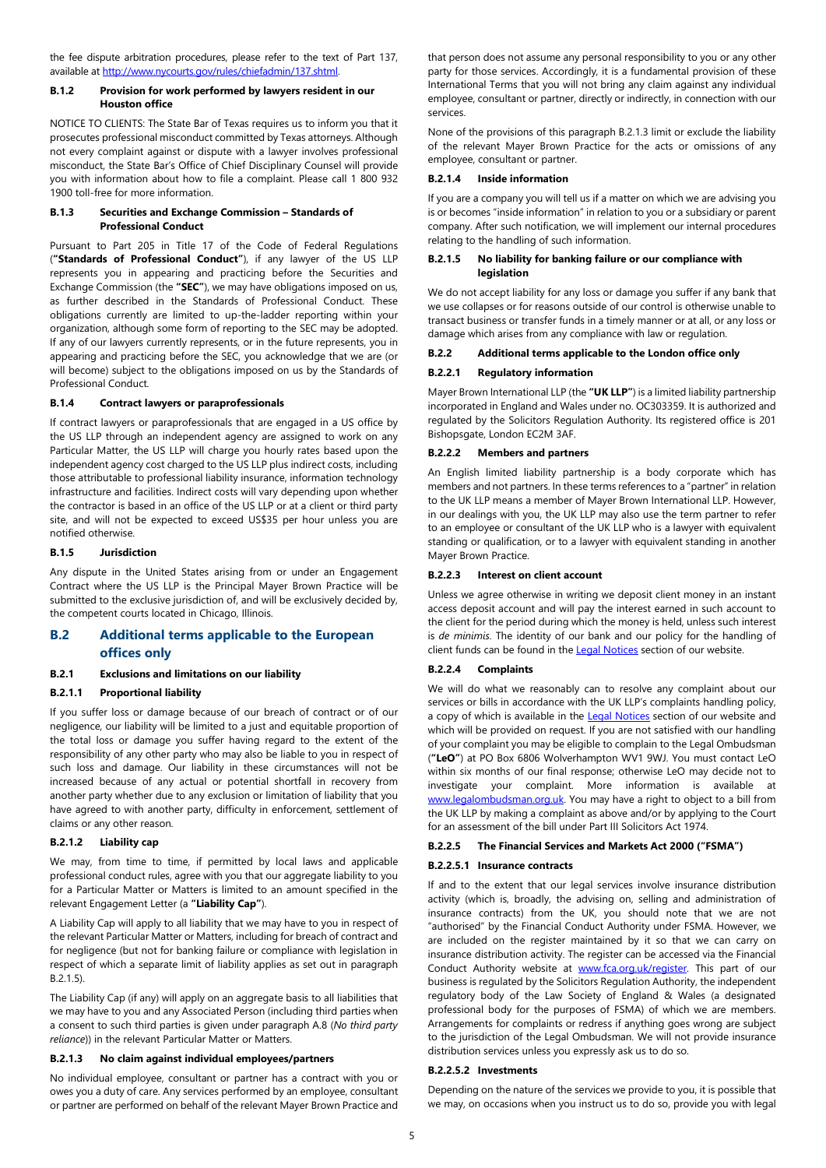the fee dispute arbitration procedures, please refer to the text of Part 137, available at [http://www.nycourts.gov/rules/chiefadmin/137.shtml.](http://www.nycourts.gov/rules/chiefadmin/137.shtml)

## **B.1.2 Provision for work performed by lawyers resident in our Houston office**

NOTICE TO CLIENTS: The State Bar of Texas requires us to inform you that it prosecutes professional misconduct committed by Texas attorneys. Although not every complaint against or dispute with a lawyer involves professional misconduct, the State Bar's Office of Chief Disciplinary Counsel will provide you with information about how to file a complaint. Please call 1 800 932 1900 toll-free for more information.

#### **B.1.3 Securities and Exchange Commission – Standards of Professional Conduct**

Pursuant to Part 205 in Title 17 of the Code of Federal Regulations (**"Standards of Professional Conduct"**), if any lawyer of the US LLP represents you in appearing and practicing before the Securities and Exchange Commission (the **"SEC"**), we may have obligations imposed on us, as further described in the Standards of Professional Conduct. These obligations currently are limited to up-the-ladder reporting within your organization, although some form of reporting to the SEC may be adopted. If any of our lawyers currently represents, or in the future represents, you in appearing and practicing before the SEC, you acknowledge that we are (or will become) subject to the obligations imposed on us by the Standards of Professional Conduct.

# <span id="page-4-0"></span>**B.1.4 Contract lawyers or paraprofessionals**

If contract lawyers or paraprofessionals that are engaged in a US office by the US LLP through an independent agency are assigned to work on any Particular Matter, the US LLP will charge you hourly rates based upon the independent agency cost charged to the US LLP plus indirect costs, including those attributable to professional liability insurance, information technology infrastructure and facilities. Indirect costs will vary depending upon whether the contractor is based in an office of the US LLP or at a client or third party site, and will not be expected to exceed US\$35 per hour unless you are notified otherwise.

## **B.1.5 Jurisdiction**

Any dispute in the United States arising from or under an Engagement Contract where the US LLP is the Principal Mayer Brown Practice will be submitted to the exclusive jurisdiction of, and will be exclusively decided by, the competent courts located in Chicago, Illinois.

# **B.2 Additional terms applicable to the European offices only**

# **B.2.1 Exclusions and limitations on our liability**

# <span id="page-4-3"></span>**B.2.1.1 Proportional liability**

If you suffer loss or damage because of our breach of contract or of our negligence, our liability will be limited to a just and equitable proportion of the total loss or damage you suffer having regard to the extent of the responsibility of any other party who may also be liable to you in respect of such loss and damage. Our liability in these circumstances will not be increased because of any actual or potential shortfall in recovery from another party whether due to any exclusion or limitation of liability that you have agreed to with another party, difficulty in enforcement, settlement of claims or any other reason.

## **B.2.1.2 Liability cap**

We may, from time to time, if permitted by local laws and applicable professional conduct rules, agree with you that our aggregate liability to you for a Particular Matter or Matters is limited to an amount specified in the relevant Engagement Letter (a **"Liability Cap"**).

A Liability Cap will apply to all liability that we may have to you in respect of the relevant Particular Matter or Matters, including for breach of contract and for negligence (but not for banking failure or compliance with legislation in respect of which a separate limit of liability applies as set out in paragraph [B.2.1.5\).](#page-4-1)

The Liability Cap (if any) will apply on an aggregate basis to all liabilities that we may have to you and any Associated Person (including third parties when a consent to such third parties is given under paragraph [A.8](#page-2-1) (*[No third party](#page-2-1)  reliance*[\)\) in the relevant Particular Matter or Matters.](#page-2-1) 

#### <span id="page-4-2"></span>**B.2.1.3 No claim against individual employees/partners**

No individual employee, consultant or partner has a contract with you or owes you a duty of care. Any services performed by an employee, consultant or partner are performed on behalf of the relevant Mayer Brown Practice and that person does not assume any personal responsibility to you or any other party for those services. Accordingly, it is a fundamental provision of these International Terms that you will not bring any claim against any individual employee, consultant or partner, directly or indirectly, in connection with our services.

[None of the provisions of this paragraph B.2.1.3 limit or exclude the liability](#page-4-2)  of the relevant Mayer Brown Practice for the acts or omissions of any employee, consultant or partner.

# **B.2.1.4 Inside information**

If you are a company you will tell us if a matter on which we are advising you is or becomes "inside information" in relation to you or a subsidiary or parent company. After such notification, we will implement our internal procedures relating to the handling of such information.

## <span id="page-4-1"></span>**B.2.1.5 No liability for banking failure or our compliance with legislation**

We do not accept liability for any loss or damage you suffer if any bank that we use collapses or for reasons outside of our control is otherwise unable to transact business or transfer funds in a timely manner or at all, or any loss or damage which arises from any compliance with law or regulation.

## **B.2.2 Additional terms applicable to the London office only**

## **B.2.2.1 Regulatory information**

Mayer Brown International LLP (the **"UK LLP"**) is a limited liability partnership incorporated in England and Wales under no. OC303359. It is authorized and regulated by the Solicitors Regulation Authority. Its registered office is 201 Bishopsgate, London EC2M 3AF.

## **B.2.2.2 Members and partners**

An English limited liability partnership is a body corporate which has members and not partners. In these terms references to a "partner" in relation to the UK LLP means a member of Mayer Brown International LLP. However, in our dealings with you, the UK LLP may also use the term partner to refer to an employee or consultant of the UK LLP who is a lawyer with equivalent standing or qualification, or to a lawyer with equivalent standing in another Mayer Brown Practice.

## **B.2.2.3 Interest on client account**

Unless we agree otherwise in writing we deposit client money in an instant access deposit account and will pay the interest earned in such account to the client for the period during which the money is held, unless such interest is *de minimis*. The identity of our bank and our policy for the handling of client funds can be found in the [Legal Notices](https://www.mayerbrown.com/en/legal-notices/legal-and-regulatory) section of our website.

# **B.2.2.4 Complaints**

We will do what we reasonably can to resolve any complaint about our services or bills in accordance with the UK LLP's complaints handling policy, a copy of which is available in the [Legal Notices](https://www.mayerbrown.com/en/legal-notices/legal-and-regulatory) section of our website and which will be provided on request. If you are not satisfied with our handling of your complaint you may be eligible to complain to the Legal Ombudsman (**"LeO"**) at PO Box 6806 Wolverhampton WV1 9WJ. You must contact LeO within six months of our final response; otherwise LeO may decide not to investigate your complaint. More information is available at [www.legalombudsman.org.uk.](http://www.legalombudsman.org.uk/) You may have a right to object to a bill from the UK LLP by making a complaint as above and/or by applying to the Court for an assessment of the bill under Part III Solicitors Act 1974.

# **B.2.2.5 The Financial Services and Markets Act 2000 ("FSMA")**

# **B.2.2.5.1 Insurance contracts**

If and to the extent that our legal services involve insurance distribution activity (which is, broadly, the advising on, selling and administration of insurance contracts) from the UK, you should note that we are not "authorised" by the Financial Conduct Authority under FSMA. However, we are included on the register maintained by it so that we can carry on insurance distribution activity. The register can be accessed via the Financial Conduct Authority website at [www.fca.org.uk/register](http://www.fca.org.uk/register). This part of our business is regulated by the Solicitors Regulation Authority, the independent regulatory body of the Law Society of England & Wales (a designated professional body for the purposes of FSMA) of which we are members. Arrangements for complaints or redress if anything goes wrong are subject to the jurisdiction of the Legal Ombudsman. We will not provide insurance distribution services unless you expressly ask us to do so.

## **B.2.2.5.2 Investments**

Depending on the nature of the services we provide to you, it is possible that we may, on occasions when you instruct us to do so, provide you with legal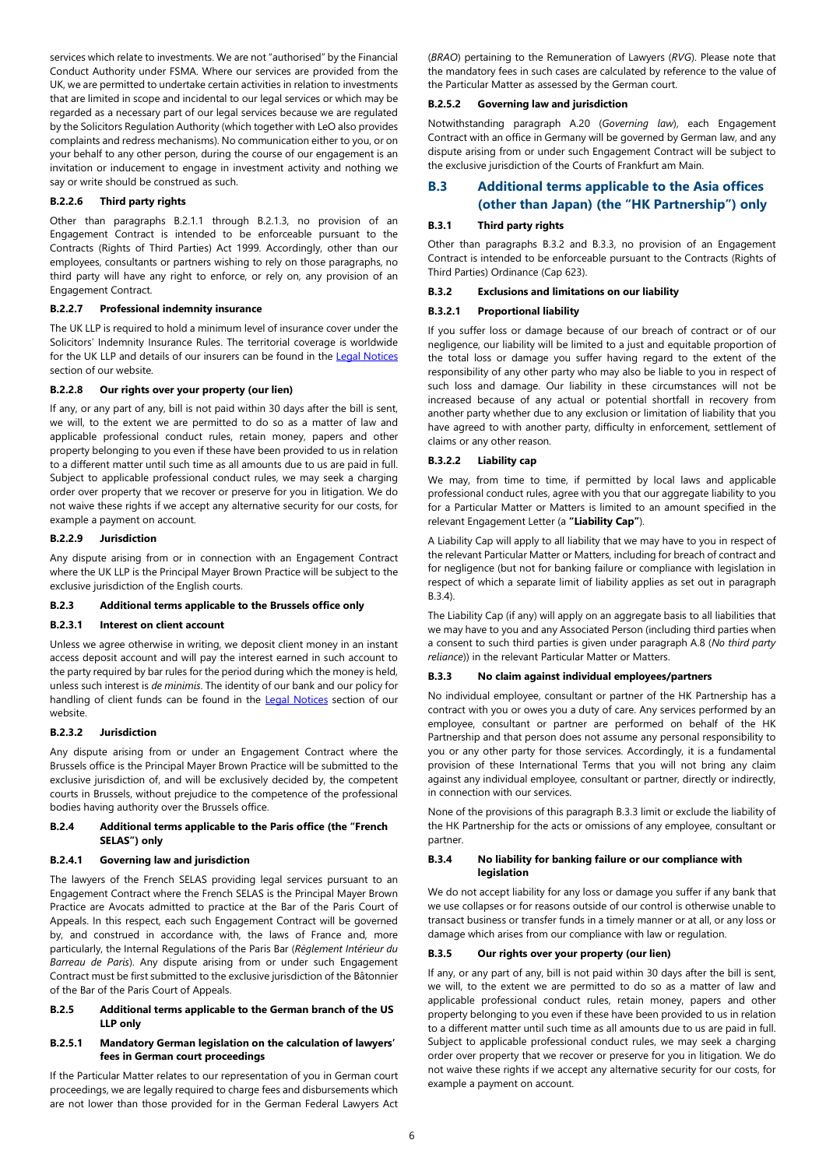services which relate to investments. We are not "authorised" by the Financial Conduct Authority under FSMA. Where our services are provided from the UK, we are permitted to undertake certain activities in relation to investments that are limited in scope and incidental to our legal services or which may be regarded as a necessary part of our legal services because we are regulated by the Solicitors Regulation Authority (which together with LeO also provides complaints and redress mechanisms). No communication either to you, or on your behalf to any other person, during the course of our engagement is an invitation or inducement to engage in investment activity and nothing we say or write should be construed as such.

## **B.2.2.6 Third party rights**

[Other than paragraphs B.2.1.1 through B.2.1.3, no provision of an](#page-4-3)  Engagement Contract is intended to be enforceable pursuant to the Contracts (Rights of Third Parties) Act 1999. Accordingly, other than our employees, consultants or partners wishing to rely on those paragraphs, no third party will have any right to enforce, or rely on, any provision of an Engagement Contract.

## **B.2.2.7 Professional indemnity insurance**

The UK LLP is required to hold a minimum level of insurance cover under the Solicitors' Indemnity Insurance Rules. The territorial coverage is worldwide for the UK LLP and details of our insurers can be found in the [Legal Notices](https://www.mayerbrown.com/en/legal-notices/legal-and-regulatory) section of our website.

# **B.2.2.8 Our rights over your property (our lien)**

If any, or any part of any, bill is not paid within 30 days after the bill is sent, we will, to the extent we are permitted to do so as a matter of law and applicable professional conduct rules, retain money, papers and other property belonging to you even if these have been provided to us in relation to a different matter until such time as all amounts due to us are paid in full. Subject to applicable professional conduct rules, we may seek a charging order over property that we recover or preserve for you in litigation. We do not waive these rights if we accept any alternative security for our costs, for example a payment on account.

# **B.2.2.9 Jurisdiction**

Any dispute arising from or in connection with an Engagement Contract where the UK LLP is the Principal Mayer Brown Practice will be subject to the exclusive jurisdiction of the English courts.

#### **B.2.3 Additional terms applicable to the Brussels office only**

#### **B.2.3.1 Interest on client account**

Unless we agree otherwise in writing, we deposit client money in an instant access deposit account and will pay the interest earned in such account to the party required by bar rules for the period during which the money is held, unless such interest is *de minimis*. The identity of our bank and our policy for handling of client funds can be found in the [Legal Notices](https://www.mayerbrown.com/en/legal-notices/legal-and-regulatory) section of our website.

#### **B.2.3.2 Jurisdiction**

Any dispute arising from or under an Engagement Contract where the Brussels office is the Principal Mayer Brown Practice will be submitted to the exclusive jurisdiction of, and will be exclusively decided by, the competent courts in Brussels, without prejudice to the competence of the professional bodies having authority over the Brussels office.

#### **B.2.4 Additional terms applicable to the Paris office (the "French SELAS") only**

#### **B.2.4.1 Governing law and jurisdiction**

The lawyers of the French SELAS providing legal services pursuant to an Engagement Contract where the French SELAS is the Principal Mayer Brown Practice are Avocats admitted to practice at the Bar of the Paris Court of Appeals. In this respect, each such Engagement Contract will be governed by, and construed in accordance with, the laws of France and, more particularly, the Internal Regulations of the Paris Bar (*Règlement Intérieur du Barreau de Paris*). Any dispute arising from or under such Engagement Contract must be first submitted to the exclusive jurisdiction of the Bâtonnier of the Bar of the Paris Court of Appeals.

## **B.2.5 Additional terms applicable to the German branch of the US LLP only**

#### **B.2.5.1 Mandatory German legislation on the calculation of lawyers' fees in German court proceedings**

If the Particular Matter relates to our representation of you in German court proceedings, we are legally required to charge fees and disbursements which are not lower than those provided for in the German Federal Lawyers Act (*BRAO*) pertaining to the Remuneration of Lawyers (*RVG*). Please note that the mandatory fees in such cases are calculated by reference to the value of the Particular Matter as assessed by the German court.

#### **B.2.5.2 Governing law and jurisdiction**

[Notwithstanding paragraph A.20 \(](#page-3-3)*[Governing law](#page-3-3)*), each Engagement Contract with an office in Germany will be governed by German law, and any dispute arising from or under such Engagement Contract will be subject to the exclusive jurisdiction of the Courts of Frankfurt am Main.

# **B.3 Additional terms applicable to the Asia offices (other than Japan) (the "HK Partnership") only**

#### **B.3.1 Third party rights**

[Other than paragraphs B.3.2 and B.3.3, no provision of an Engagement](#page-5-0)  Contract is intended to be enforceable pursuant to the Contracts (Rights of Third Parties) Ordinance (Cap 623).

#### <span id="page-5-0"></span>**B.3.2 Exclusions and limitations on our liability**

# **B.3.2.1 Proportional liability**

If you suffer loss or damage because of our breach of contract or of our negligence, our liability will be limited to a just and equitable proportion of the total loss or damage you suffer having regard to the extent of the responsibility of any other party who may also be liable to you in respect of such loss and damage. Our liability in these circumstances will not be increased because of any actual or potential shortfall in recovery from another party whether due to any exclusion or limitation of liability that you have agreed to with another party, difficulty in enforcement, settlement of claims or any other reason.

# **B.3.2.2 Liability cap**

We may, from time to time, if permitted by local laws and applicable professional conduct rules, agree with you that our aggregate liability to you for a Particular Matter or Matters is limited to an amount specified in the relevant Engagement Letter (a **"Liability Cap"**).

A Liability Cap will apply to all liability that we may have to you in respect of the relevant Particular Matter or Matters, including for breach of contract and for negligence (but not for banking failure or compliance with legislation in respect of which a separate limit of liability applies as set out in paragraph [B.3.4\)](#page-5-2).

The Liability Cap (if any) will apply on an aggregate basis to all liabilities that we may have to you and any Associated Person (including third parties when a consent to such third parties is given under paragraph [A.8](#page-2-1) (*[No third party](#page-2-1)  reliance*[\)\) in the relevant Particular Matter or Matters.](#page-2-1)

#### <span id="page-5-1"></span>**B.3.3 No claim against individual employees/partners**

No individual employee, consultant or partner of the HK Partnership has a contract with you or owes you a duty of care. Any services performed by an employee, consultant or partner are performed on behalf of the HK Partnership and that person does not assume any personal responsibility to you or any other party for those services. Accordingly, it is a fundamental provision of these International Terms that you will not bring any claim against any individual employee, consultant or partner, directly or indirectly, in connection with our services.

[None of the provisions of this paragraph B.3.3 limit or exclude the liability of](#page-5-1)  the HK Partnership for the acts or omissions of any employee, consultant or partner.

#### <span id="page-5-2"></span>**B.3.4 No liability for banking failure or our compliance with legislation**

We do not accept liability for any loss or damage you suffer if any bank that we use collapses or for reasons outside of our control is otherwise unable to transact business or transfer funds in a timely manner or at all, or any loss or damage which arises from our compliance with law or regulation.

#### **B.3.5 Our rights over your property (our lien)**

If any, or any part of any, bill is not paid within 30 days after the bill is sent, we will, to the extent we are permitted to do so as a matter of law and applicable professional conduct rules, retain money, papers and other property belonging to you even if these have been provided to us in relation to a different matter until such time as all amounts due to us are paid in full. Subject to applicable professional conduct rules, we may seek a charging order over property that we recover or preserve for you in litigation. We do not waive these rights if we accept any alternative security for our costs, for example a payment on account.